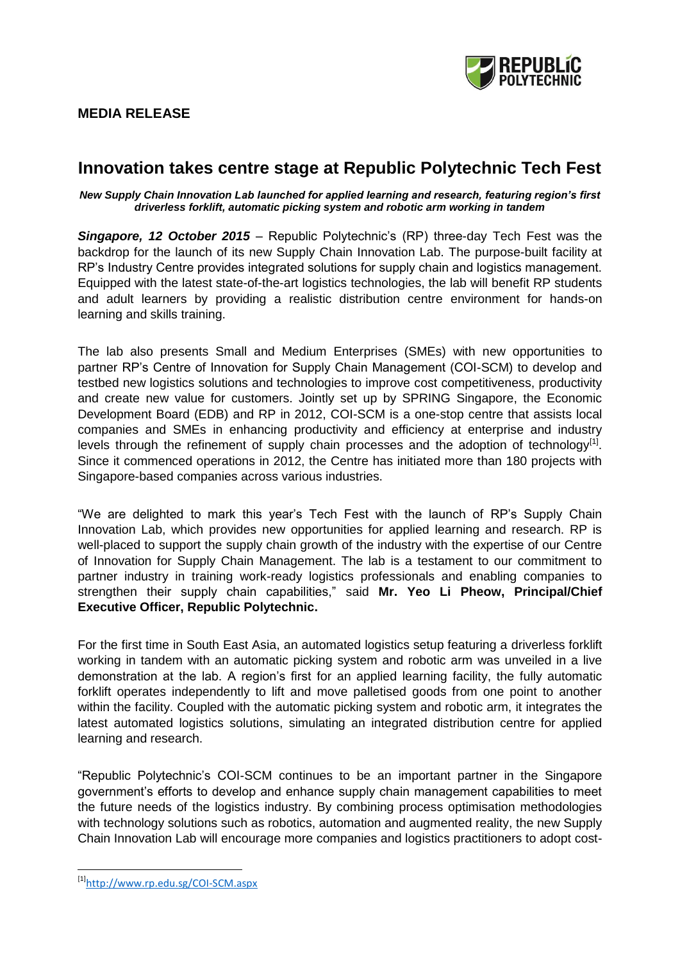## **MEDIA RELEASE**

# **Innovation takes centre stage at Republic Polytechnic Tech Fest**

*New Supply Chain Innovation Lab launched for applied learning and research, featuring region's first driverless forklift, automatic picking system and robotic arm working in tandem*

*Singapore, 12 October 2015* – Republic Polytechnic's (RP) three-day Tech Fest was the backdrop for the launch of its new Supply Chain Innovation Lab. The purpose-built facility at RP's Industry Centre provides integrated solutions for supply chain and logistics management. Equipped with the latest state-of-the-art logistics technologies, the lab will benefit RP students and adult learners by providing a realistic distribution centre environment for hands-on learning and skills training.

The lab also presents Small and Medium Enterprises (SMEs) with new opportunities to partner RP's Centre of Innovation for Supply Chain Management (COI-SCM) to develop and testbed new logistics solutions and technologies to improve cost competitiveness, productivity and create new value for customers. Jointly set up by SPRING Singapore, the Economic Development Board (EDB) and RP in 2012, COI-SCM is a one-stop centre that assists local companies and SMEs in enhancing productivity and efficiency at enterprise and industry levels through the refinement of supply chain processes and the adoption of technology $^{[1]}$ . Since it commenced operations in 2012, the Centre has initiated more than 180 projects with Singapore-based companies across various industries.

"We are delighted to mark this year's Tech Fest with the launch of RP's Supply Chain Innovation Lab, which provides new opportunities for applied learning and research. RP is well-placed to support the supply chain growth of the industry with the expertise of our Centre of Innovation for Supply Chain Management. The lab is a testament to our commitment to partner industry in training work-ready logistics professionals and enabling companies to strengthen their supply chain capabilities," said **Mr. Yeo Li Pheow, Principal/Chief Executive Officer, Republic Polytechnic.**

For the first time in South East Asia, an automated logistics setup featuring a driverless forklift working in tandem with an automatic picking system and robotic arm was unveiled in a live demonstration at the lab. A region's first for an applied learning facility, the fully automatic forklift operates independently to lift and move palletised goods from one point to another within the facility. Coupled with the automatic picking system and robotic arm, it integrates the latest automated logistics solutions, simulating an integrated distribution centre for applied learning and research.

"Republic Polytechnic's COI-SCM continues to be an important partner in the Singapore government's efforts to develop and enhance supply chain management capabilities to meet the future needs of the logistics industry. By combining process optimisation methodologies with technology solutions such as robotics, automation and augmented reality, the new Supply Chain Innovation Lab will encourage more companies and logistics practitioners to adopt cost-

 $\overline{\phantom{a}}$ 

<sup>[1]</sup><http://www.rp.edu.sg/COI-SCM.aspx>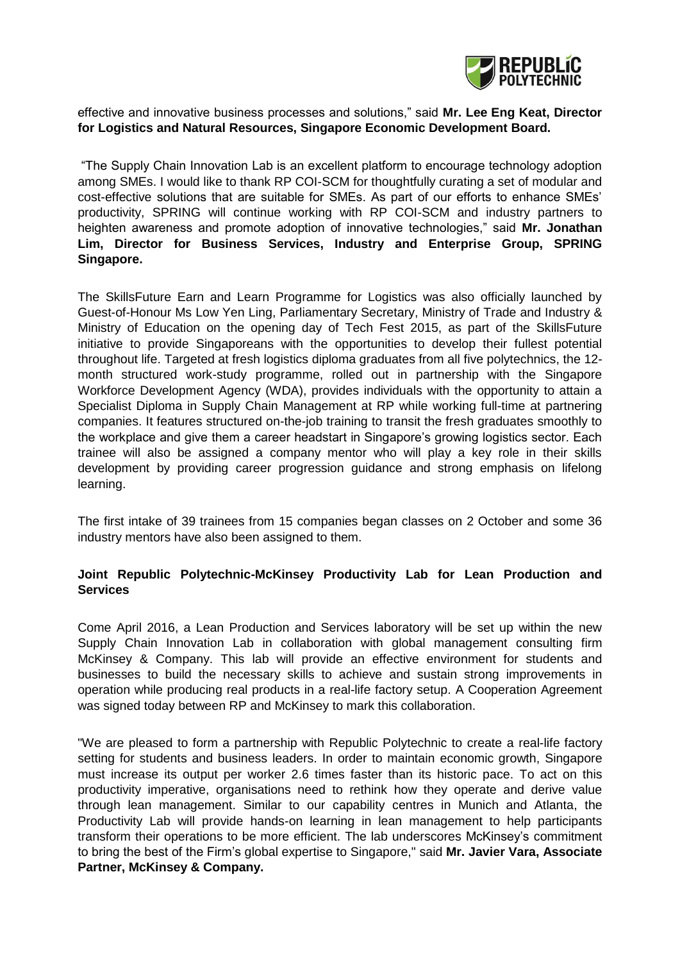

### effective and innovative business processes and solutions," said **Mr. Lee Eng Keat, Director for Logistics and Natural Resources, Singapore Economic Development Board.**

"The Supply Chain Innovation Lab is an excellent platform to encourage technology adoption among SMEs. I would like to thank RP COI-SCM for thoughtfully curating a set of modular and cost-effective solutions that are suitable for SMEs. As part of our efforts to enhance SMEs' productivity, SPRING will continue working with RP COI-SCM and industry partners to heighten awareness and promote adoption of innovative technologies," said **Mr. Jonathan Lim, Director for Business Services, Industry and Enterprise Group, SPRING Singapore.**

The SkillsFuture Earn and Learn Programme for Logistics was also officially launched by Guest-of-Honour Ms Low Yen Ling, Parliamentary Secretary, Ministry of Trade and Industry & Ministry of Education on the opening day of Tech Fest 2015, as part of the SkillsFuture initiative to provide Singaporeans with the opportunities to develop their fullest potential throughout life. Targeted at fresh logistics diploma graduates from all five polytechnics, the 12 month structured work-study programme, rolled out in partnership with the Singapore Workforce Development Agency (WDA), provides individuals with the opportunity to attain a Specialist Diploma in Supply Chain Management at RP while working full-time at partnering companies. It features structured on-the-job training to transit the fresh graduates smoothly to the workplace and give them a career headstart in Singapore's growing logistics sector. Each trainee will also be assigned a company mentor who will play a key role in their skills development by providing career progression guidance and strong emphasis on lifelong learning.

The first intake of 39 trainees from 15 companies began classes on 2 October and some 36 industry mentors have also been assigned to them.

### **Joint Republic Polytechnic-McKinsey Productivity Lab for Lean Production and Services**

Come April 2016, a Lean Production and Services laboratory will be set up within the new Supply Chain Innovation Lab in collaboration with global management consulting firm McKinsey & Company. This lab will provide an effective environment for students and businesses to build the necessary skills to achieve and sustain strong improvements in operation while producing real products in a real-life factory setup. A Cooperation Agreement was signed today between RP and McKinsey to mark this collaboration.

"We are pleased to form a partnership with Republic Polytechnic to create a real-life factory setting for students and business leaders. In order to maintain economic growth, Singapore must increase its output per worker 2.6 times faster than its historic pace. To act on this productivity imperative, organisations need to rethink how they operate and derive value through lean management. Similar to our capability centres in Munich and Atlanta, the Productivity Lab will provide hands-on learning in lean management to help participants transform their operations to be more efficient. The lab underscores McKinsey's commitment to bring the best of the Firm's global expertise to Singapore," said **Mr. Javier Vara, Associate Partner, McKinsey & Company.**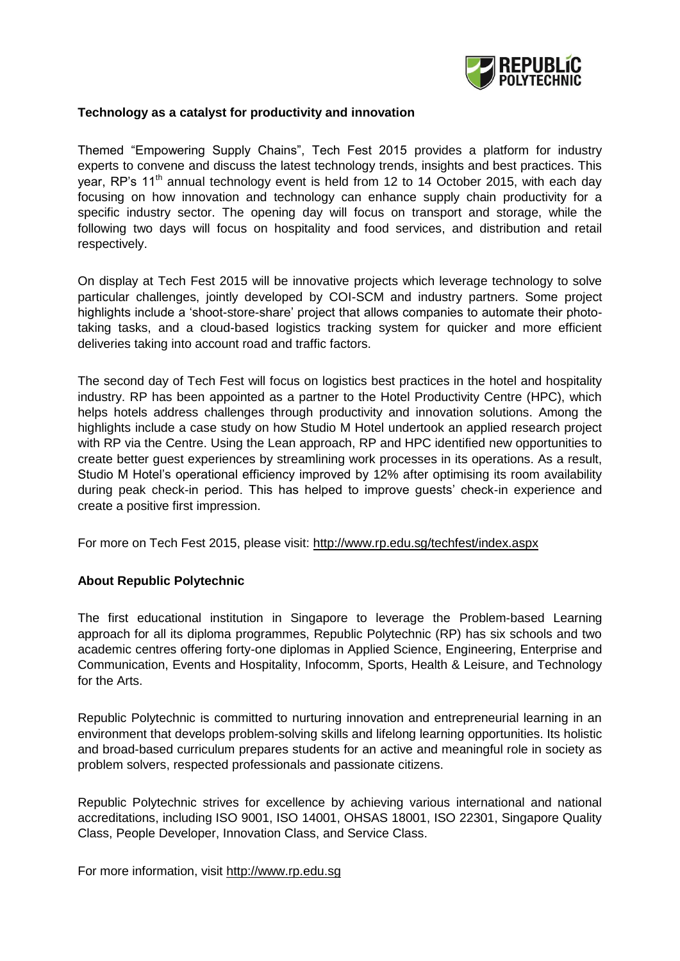

#### **Technology as a catalyst for productivity and innovation**

Themed "Empowering Supply Chains", Tech Fest 2015 provides a platform for industry experts to convene and discuss the latest technology trends, insights and best practices. This year, RP's 11<sup>th</sup> annual technology event is held from 12 to 14 October 2015, with each day focusing on how innovation and technology can enhance supply chain productivity for a specific industry sector. The opening day will focus on transport and storage, while the following two days will focus on hospitality and food services, and distribution and retail respectively.

On display at Tech Fest 2015 will be innovative projects which leverage technology to solve particular challenges, jointly developed by COI-SCM and industry partners. Some project highlights include a 'shoot-store-share' project that allows companies to automate their phototaking tasks, and a cloud-based logistics tracking system for quicker and more efficient deliveries taking into account road and traffic factors.

The second day of Tech Fest will focus on logistics best practices in the hotel and hospitality industry. RP has been appointed as a partner to the Hotel Productivity Centre (HPC), which helps hotels address challenges through productivity and innovation solutions. Among the highlights include a case study on how Studio M Hotel undertook an applied research project with RP via the Centre. Using the Lean approach, RP and HPC identified new opportunities to create better guest experiences by streamlining work processes in its operations. As a result, Studio M Hotel's operational efficiency improved by 12% after optimising its room availability during peak check-in period. This has helped to improve guests' check-in experience and create a positive first impression.

For more on Tech Fest 2015, please visit:<http://www.rp.edu.sg/techfest/index.aspx>

### **About Republic Polytechnic**

The first educational institution in Singapore to leverage the Problem-based Learning approach for all its diploma programmes, Republic Polytechnic (RP) has six schools and two academic centres offering forty-one diplomas in Applied Science, Engineering, Enterprise and Communication, Events and Hospitality, Infocomm, Sports, Health & Leisure, and Technology for the Arts.

Republic Polytechnic is committed to nurturing innovation and entrepreneurial learning in an environment that develops problem-solving skills and lifelong learning opportunities. Its holistic and broad-based curriculum prepares students for an active and meaningful role in society as problem solvers, respected professionals and passionate citizens.

Republic Polytechnic strives for excellence by achieving various international and national accreditations, including ISO 9001, ISO 14001, OHSAS 18001, ISO 22301, Singapore Quality Class, People Developer, Innovation Class, and Service Class.

For more information, visit [http://www.rp.edu.sg](http://www.rp.edu.sg/)